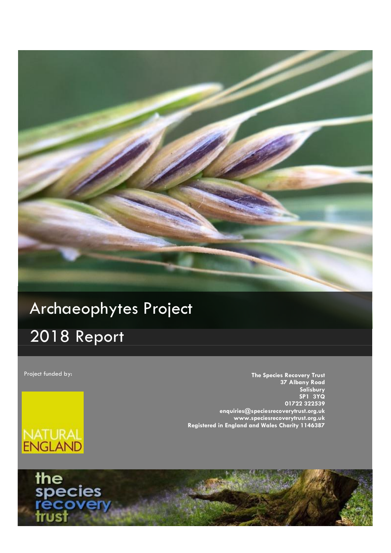

# **Progress Report - 2018** Archaeophytes Project

# 2018 Report

Project funded by:

**The Species Recovery Trust 37 Albany Road Salisbury SP1 3YQ 01722 322539 enquiries@speciesrecoverytrust.org.uk www.speciesrecoverytrust.org.uk Registered in England and Wales Charity 1146387**



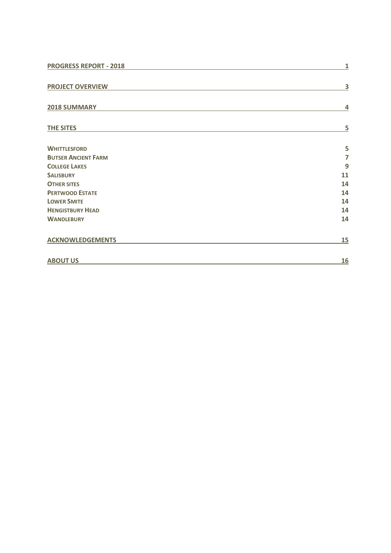| <b>PROGRESS REPORT - 2018</b> | 1                       |
|-------------------------------|-------------------------|
| <b>PROJECT OVERVIEW</b>       | $\overline{\mathbf{3}}$ |
| 2018 SUMMARY                  | 4                       |
| <b>THE SITES</b>              | 5                       |
| <b>WHITTLESFORD</b>           | 5                       |
| <b>BUTSER ANCIENT FARM</b>    | $\overline{7}$          |
| <b>COLLEGE LAKES</b>          | 9                       |
| <b>SALISBURY</b>              | 11                      |
| <b>OTHER SITES</b>            | 14                      |
| <b>PERTWOOD ESTATE</b>        | 14                      |
| <b>LOWER SMITE</b>            | 14                      |
| <b>HENGISTBURY HEAD</b>       | 14                      |
| <b>WANDLEBURY</b>             | 14                      |
| <b>ACKNOWLEDGEMENTS</b>       | <u>15</u>               |
| <b>ABOUT US</b>               | <u>16</u>               |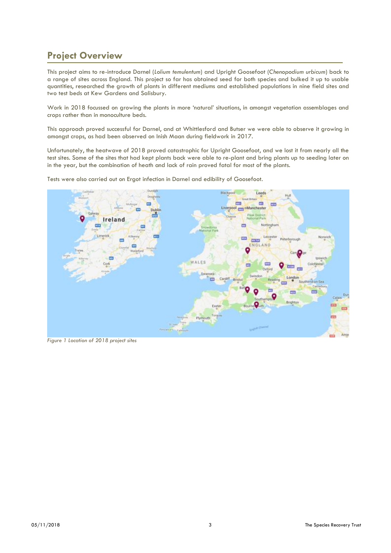## <span id="page-2-0"></span>**Project Overview**

This project aims to re-introduce Darnel (*Lolium temulentum*) and Upright Goosefoot (*Chenopodium urbicum*) back to a range of sites across England. This project so far has obtained seed for both species and bulked it up to usable quantities, researched the growth of plants in different mediums and established populations in nine field sites and two test beds at Kew Gardens and Salisbury.

Work in 2018 focussed on growing the plants in more 'natural' situations, in amongst vegetation assemblages and crops rather than in monoculture beds.

This approach proved successful for Darnel, and at Whittlesford and Butser we were able to observe it growing in amongst crops, as had been observed on Inish Maan during fieldwork in 2017.

Unfortunately, the heatwave of 2018 proved catastrophic for Upright Goosefoot, and we lost it from nearly all the test sites. Some of the sites that had kept plants back were able to re-plant and bring plants up to seeding later on in the year, but the combination of heath and lack of rain proved fatal for most of the plants.

Tests were also carried out on Ergot infection in Darnel and edibility of Goosefoot.



*Figure 1 Location of 2018 project sites*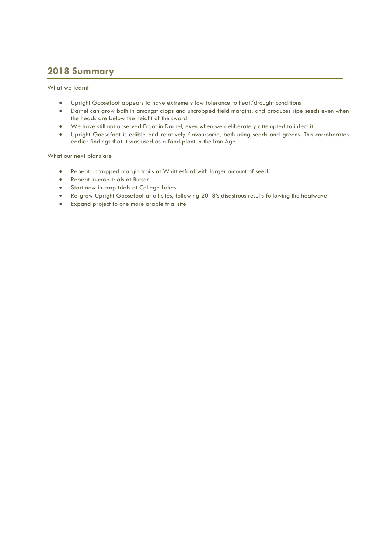## <span id="page-3-0"></span>**2018 Summary**

What we learnt

- Upright Goosefoot appears to have extremely low tolerance to heat/drought conditions
- Darnel can grow both in amongst crops and uncropped field margins, and produces ripe seeds even when the heads are below the height of the sward
- We have still not observed Ergot in Darnel, even when we deliberately attempted to infect it
- Upright Goosefoot is edible and relatively flavoursome, both using seeds and greens. This corroborates earlier findings that it was used as a food plant in the Iron Age

What our next plans are

- Repeat uncropped margin trails at Whittlesford with larger amount of seed
- Repeat in-crop trials at Butser
- Start new in-crop trials at College Lakes
- Re-grow Upright Goosefoot at all sites, following 2018's disastrous results following the heatwave
- Expand project to one more arable trial site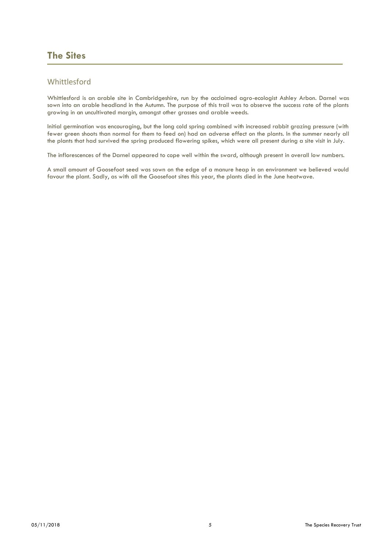## <span id="page-4-0"></span>**The Sites**

### <span id="page-4-1"></span>Whittlesford

Whittlesford is an arable site in Cambridgeshire, run by the acclaimed agro-ecologist Ashley Arbon. Darnel was sown into an arable headland in the Autumn. The purpose of this trail was to observe the success rate of the plants growing in an uncultivated margin, amongst other grasses and arable weeds.

Initial germination was encouraging, but the long cold spring combined with increased rabbit grazing pressure (with fewer green shoots than normal for them to feed on) had an adverse effect on the plants. In the summer nearly all the plants that had survived the spring produced flowering spikes, which were all present during a site visit in July.

The inflorescences of the Darnel appeared to cope well within the sward, although present in overall low numbers.

A small amount of Goosefoot seed was sown on the edge of a manure heap in an environment we believed would favour the plant. Sadly, as with all the Goosefoot sites this year, the plants died in the June heatwave.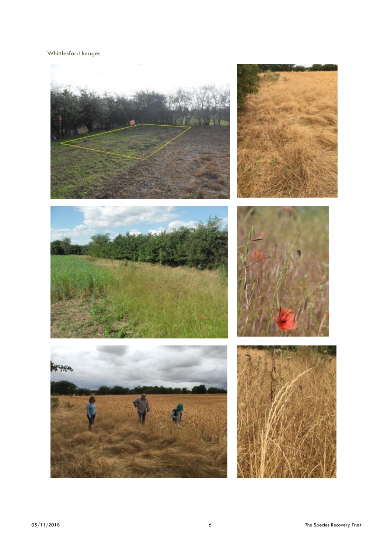#### Whittlesford Images

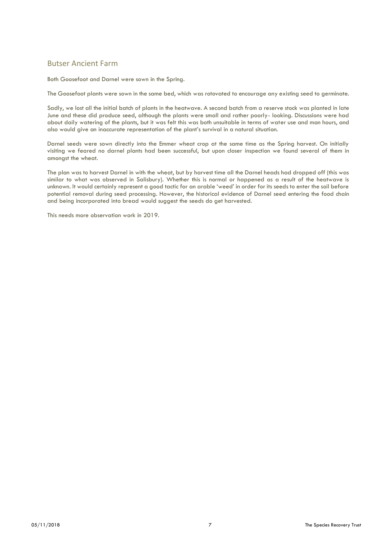### <span id="page-6-0"></span>Butser Ancient Farm

Both Goosefoot and Darnel were sown in the Spring.

The Goosefoot plants were sown in the same bed, which was rotovated to encourage any existing seed to germinate.

Sadly, we lost all the initial batch of plants in the heatwave. A second batch from a reserve stock was planted in late June and these did produce seed, although the plants were small and rather poorly- looking. Discussions were had about daily watering of the plants, but it was felt this was both unsuitable in terms of water use and man hours, and also would give an inaccurate representation of the plant's survival in a natural situation.

Darnel seeds were sown directly into the Emmer wheat crop at the same time as the Spring harvest. On initially visiting we feared no darnel plants had been successful, but upon closer inspection we found several of them in amongst the wheat.

The plan was to harvest Darnel in with the wheat, but by harvest time all the Darnel heads had dropped off (this was similar to what was observed in Salisbury). Whether this is normal or happened as a result of the heatwave is unknown. It would certainly represent a good tactic for an arable 'weed' in order for its seeds to enter the soil before potential removal during seed processing. However, the historical evidence of Darnel seed entering the food chain and being incorporated into bread would suggest the seeds do get harvested.

This needs more observation work in 2019.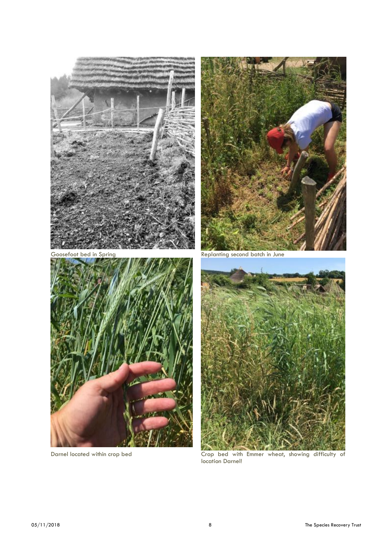





Goosefoot bed in Spring The Replanting second batch in June



Darnel located within crop bed **Crop** bed with Emmer wheat, showing difficulty of location Darnel!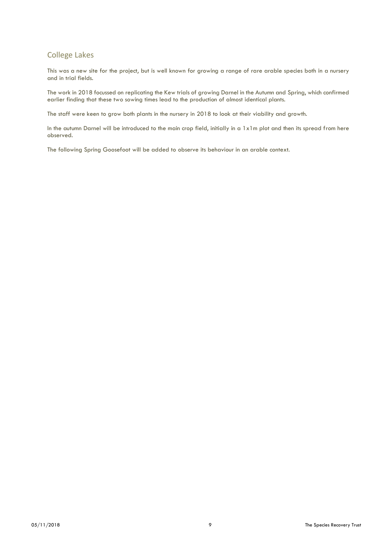### <span id="page-8-0"></span>College Lakes

This was a new site for the project, but is well known for growing a range of rare arable species both in a nursery and in trial fields.

The work in 2018 focussed on replicating the Kew trials of growing Darnel in the Autumn and Spring, which confirmed earlier finding that these two sowing times lead to the production of almost identical plants.

The staff were keen to grow both plants in the nursery in 2018 to look at their viability and growth.

In the autumn Darnel will be introduced to the main crop field, initially in a 1x1m plot and then its spread from here observed.

The following Spring Goosefoot will be added to observe its behaviour in an arable context.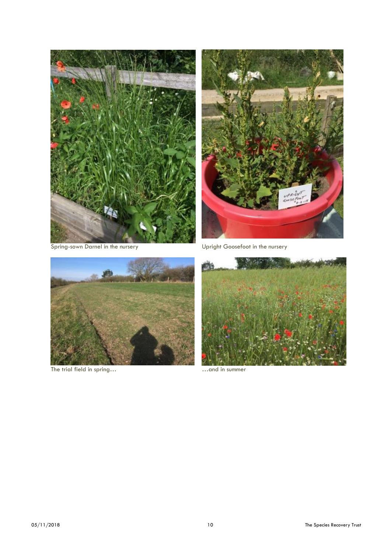



Spring-sown Darnel in the nursery Upright Goosefoot in the nursery



The trial field in spring... **Example 20** in summer ... and in summer

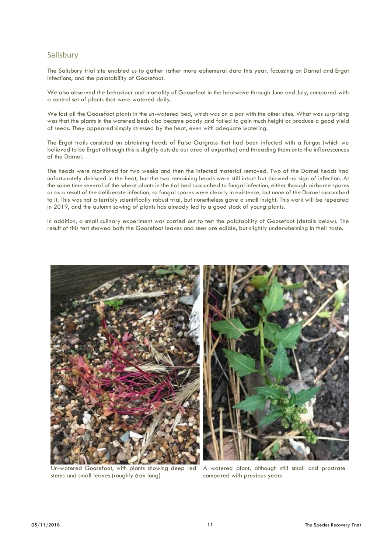#### <span id="page-10-0"></span>Salisbury

The Salisbury trial site enabled us to gather rather more ephemeral data this year, focussing on Darnel and Ergot infections, and the palatability of Goosefoot.

We also observed the behaviour and mortality of Goosefoot in the heatwave through June and July, compared with a control set of plants that were watered daily.

We lost all the Goosefoot plants in the un-watered bed, which was on a par with the other sites. What was surprising was that the plants in the watered beds also became poorly and failed to gain much height or produce a good yield of seeds. They appeared simply stressed by the heat, even with adequate watering.

The Ergot trails consisted on obtaining heads of False Oatgrass that had been infected with a fungus (which we believed to be Ergot although this is slightly outside our area of expertise) and threading them onto the inflorescences of the Darnel.

The heads were monitored for two weeks and then the infected material removed. Two of the Darnel heads had unfortunately dehisced in the heat, but the two remaining heads were still intact but showed no sign of infection. At the same time several of the wheat plants in the tial bed succumbed to fungal infection, either through airborne spores or as a result of the deliberate infection, so fungal spores were clearly in existence, but none of the Darnel succumbed to it. This was not a terribly scientifically robust trial, but nonetheless gave a small insight. This work will be repeated in 2019, and the autumn sowing of plants has already led to a good stock of young plants.

In addition, a small culinary experiment was carried out to test the palatability of Goosefoot (details below). The result of this test showed both the Goosefoot leaves and sees are edible, but slightly underwhelming in their taste.



Un-watered Goosefoot, with plants showing deep red stems and small leaves (roughly 6cm long)

A watered plant, although still small and prostrate compared with previous years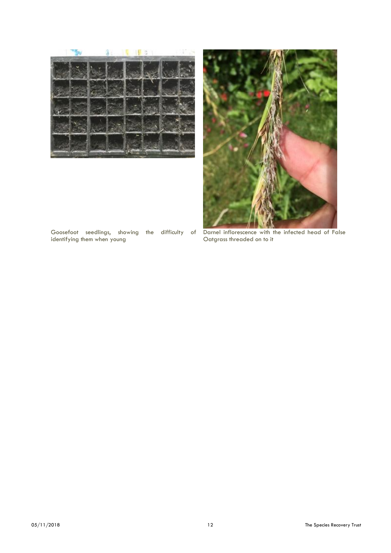



Goosefoot seedlings, showing the difficulty of identifying them when young

Darnel inflorescence with the infected head of False Oatgrass threaded on to it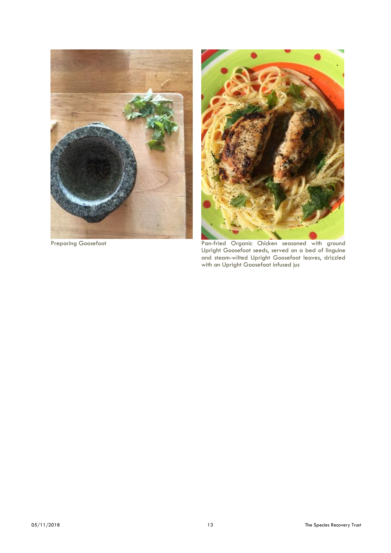



Preparing Goosefoot **Pan-Fried Organic Chicken seasoned with ground** Upright Goosefoot seeds, served on a bed of linguine and steam-wilted Upright Goosefoot leaves, drizzled with an Upright Goosefoot infused jus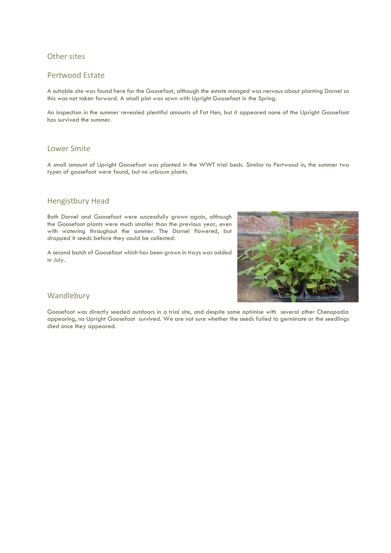### <span id="page-13-0"></span>Other sites

#### <span id="page-13-1"></span>Pertwood Estate

A suitable site was found here for the Goosefoot, although the estate manged was nervous about planting Darnel so this was not taken forward. A small plot was sown with Upright Goosefoot in the Spring.

An inspection in the summer revealed plentiful amounts of Fat Hen, but it appeared none of the Upright Goosefoot has survived the summer.

### <span id="page-13-2"></span>Lower Smite

A small amount of Upright Goosefoot was planted in the WWT trial beds. Similar to Pertwood in, the summer two types of goosefoot were found, but no *urbicum* plants.

#### <span id="page-13-3"></span>Hengistbury Head

Both Darnel and Goosefoot were successfully grown again, although the Goosefoot plants were much smaller than the previous year, even with watering throughout the summer. The Darnel flowered, but dropped it seeds before they could be collected.

A second batch of Goosefoot which has been grown in trays was added in July.



#### <span id="page-13-4"></span>Wandlebury

Goosefoot was directly seeded outdoors in a trial site, and despite some optimise with several other Chenopodia appearing, no Upright Goosefoot survived. We are not sure whether the seeds failed to germinate or the seedlings died once they appeared.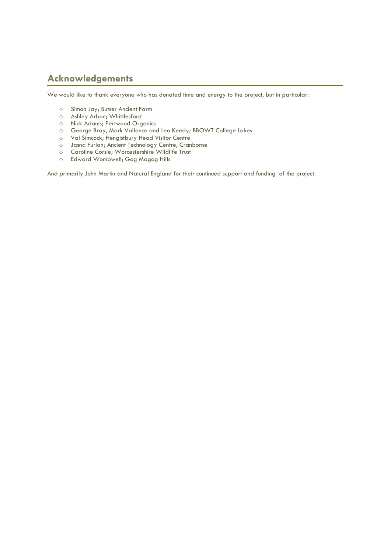## <span id="page-14-0"></span>**Acknowledgements**

We would like to thank everyone who has donated time and energy to the project, but in particular:

- o Simon Jay; Butser Ancient Farm
- o Ashley Arbon; Whittlesford
- o Nick Adams; Pertwood Organics
- o George Bray, Mark Vallance and Leo Keedy; BBOWT College Lakes
- o Val Simcock; Hengistbury Head Visitor Centre
- o Jasna Furlan; Ancient Technology Centre, Cranborne
- o Caroline Corsie; Worcestershire Wildlife Trust
- o Edward Wombwell; Gog Magog Hills

And primarily John Martin and Natural England for their continued support and funding of the project.